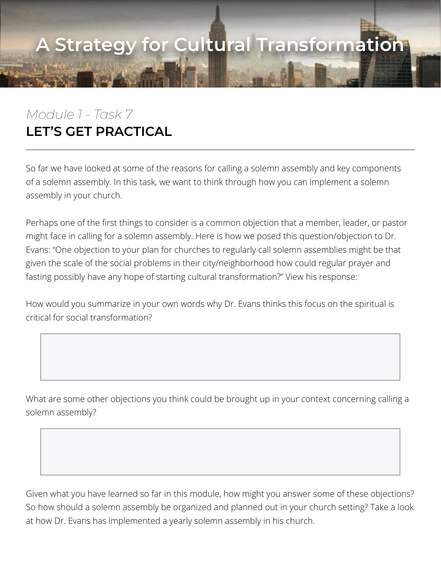## **A Strategy for Cultural Transformation**

## *Module 1 - Task 7* **LET'S GET PRACTICAL**

So far we have looked at some of the reasons for calling a solemn assembly and key components of a solemn assembly. In this task, we want to think through how you can implement a solemn assembly in your church.

Perhaps one of the first things to consider is a common objection that a member, leader, or pastor might face in calling for a solemn assembly. Here is how we posed this question/objection to Dr. Evans: "One objection to your plan for churches to regularly call solemn assemblies might be that given the scale of the social problems in their city/neighborhood how could regular prayer and fasting possibly have any hope of starting cultural transformation?" View his response:

How would you summarize in your own words why Dr. Evans thinks this focus on the spiritual is critical for social transformation?

What are some other objections you think could be brought up in your context concerning calling a solemn assembly?

Given what you have learned so far in this module, how might you answer some of these objections? So how should a solemn assembly be organized and planned out in your church setting? Take a look at how Dr. Evans has implemented a yearly solemn assembly in his church.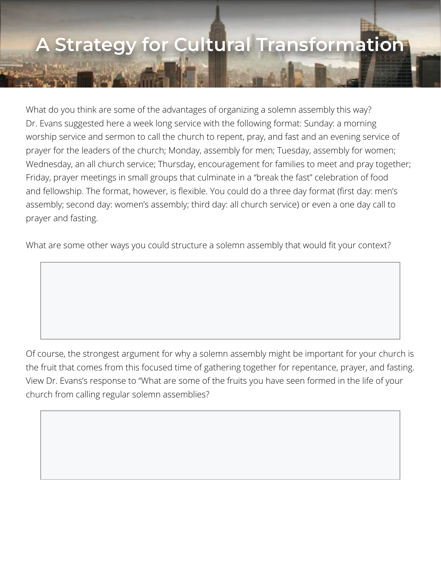## **A Strategy for Cultural Transformation**

What do you think are some of the advantages of organizing a solemn assembly this way? Dr. Evans suggested here a week long service with the following format: Sunday: a morning worship service and sermon to call the church to repent, pray, and fast and an evening service of prayer for the leaders of the church; Monday, assembly for men; Tuesday, assembly for women; Wednesday, an all church service; Thursday, encouragement for families to meet and pray together; Friday, prayer meetings in small groups that culminate in a "break the fast" celebration of food and fellowship. The format, however, is flexible. You could do a three day format (first day: men's assembly; second day: women's assembly; third day: all church service) or even a one day call to prayer and fasting.

What are some other ways you could structure a solemn assembly that would fit your context?

Of course, the strongest argument for why a solemn assembly might be important for your church is the fruit that comes from this focused time of gathering together for repentance, prayer, and fasting. View Dr. Evans's response to "What are some of the fruits you have seen formed in the life of your church from calling regular solemn assemblies?